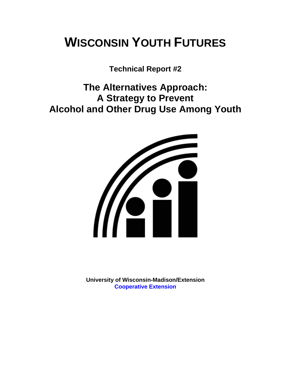# **WISCONSIN YOUTH FUTURES**

**Technical Report #2** 

**The Alternatives Approach: A Strategy to Prevent Alcohol and Other Drug Use Among Youth** 



**University of Wisconsin-Madison/Extension [Cooperative Extension](http://www1.uwex.edu/ces/index.cfm)**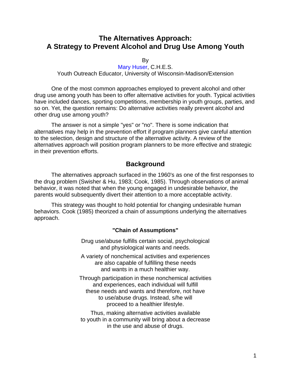# **The Alternatives Approach: A Strategy to Prevent Alcohol and Drug Use Among Youth**

By

[Mary Huser](http://www.uwex.edu/ces/flp/specialists/huser.html), C.H.E.S. Youth Outreach Educator, University of Wisconsin-Madison/Extension

One of the most common approaches employed to prevent alcohol and other drug use among youth has been to offer alternative activities for youth. Typical activities have included dances, sporting competitions, membership in youth groups, parties, and so on. Yet, the question remains: Do alternative activities really prevent alcohol and other drug use among youth?

The answer is not a simple "yes" or "no". There is some indication that alternatives may help in the prevention effort if program planners give careful attention to the selection, design and structure of the alternative activity. A review of the alternatives approach will position program planners to be more effective and strategic in their prevention efforts.

## **Background**

The alternatives approach surfaced in the 1960's as one of the first responses to the drug problem (Swisher & Hu, 1983; Cook, 1985). Through observations of animal behavior, it was noted that when the young engaged in undesirable behavior, the parents would subsequently divert their attention to a more acceptable activity.

This strategy was thought to hold potential for changing undesirable human behaviors. Cook (1985) theorized a chain of assumptions underlying the alternatives approach.

#### **"Chain of Assumptions"**

Drug use/abuse fulfills certain social, psychological and physiological wants and needs.

A variety of nonchemical activities and experiences are also capable of fulfilling these needs and wants in a much healthier way.

Through participation in these nonchemical activities and experiences, each individual will fulfill these needs and wants and therefore, not have to use/abuse drugs. Instead, s/he will proceed to a healthier lifestyle.

Thus, making alternative activities available to youth in a community will bring about a decrease in the use and abuse of drugs.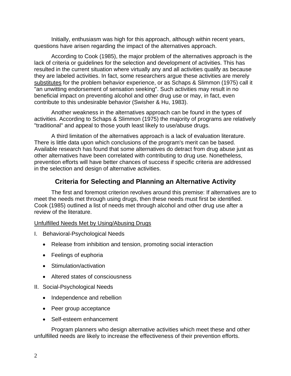Initially, enthusiasm was high for this approach, although within recent years, questions have arisen regarding the impact of the alternatives approach.

According to Cook (1985), the major problem of the alternatives approach is the lack of criteria or guidelines for the selection and development of activities. This has resulted in the current situation where virtually any and all activities qualify as because they are labeled activities. In fact, some researchers argue these activities are merely substitutes for the problem behavior experience, or as Schaps & Slimmon (1975) call it "an unwitting endorsement of sensation seeking". Such activities may result in no beneficial impact on preventing alcohol and other drug use or may, in fact, even contribute to this undesirable behavior (Swisher & Hu, 1983).

Another weakness in the alternatives approach can be found in the types of activities. According to Schaps & Slimmon (1975) the majority of programs are relatively "traditional" and appeal to those youth least likely to use/abuse drugs.

A third limitation of the alternatives approach is a lack of evaluation literature. There is little data upon which conclusions of the program's merit can be based. Available research has found that some alternatives do detract from drug abuse just as other alternatives have been correlated with contributing to drug use. Nonetheless, prevention efforts will have better chances of success if specific criteria are addressed in the selection and design of alternative activities.

# **Criteria for Selecting and Planning an Alternative Activity**

The first and foremost criterion revolves around this premise: If alternatives are to meet the needs met through using drugs, then these needs must first be identified. Cook (1985) outlined a list of needs met through alcohol and other drug use after a review of the literature.

#### Unfulfilled Needs Met by Using/Abusing Drugs

- I. Behavioral-Psychological Needs
	- Release from inhibition and tension, promoting social interaction
	- Feelings of euphoria
	- Stimulation/activation
	- Altered states of consciousness
- II. Social-Psychological Needs
	- Independence and rebellion
	- Peer group acceptance
	- Self-esteem enhancement

Program planners who design alternative activities which meet these and other unfulfilled needs are likely to increase the effectiveness of their prevention efforts.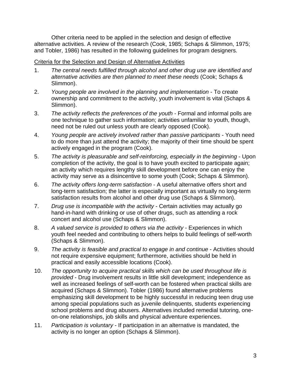Other criteria need to be applied in the selection and design of effective alternative activities. A review of the research (Cook, 1985; Schaps & Slimmon, 1975; and Tobler, 1986) has resulted in the following guidelines for program designers.

## Criteria for the Selection and Design of Alternative Activities

- 1. *The central needs fulfilled through alcohol and other drug use are identified and alternative activities are then planned to meet these needs* (Cook; Schaps & Slimmon).
- 2. *Young people are involved in the planning and implementation* To create ownership and commitment to the activity, youth involvement is vital (Schaps & Slimmon).
- 3. *The activity reflects the preferences of the youth* Formal and informal polls are one technique to gather such information; activities unfamiliar to youth, though, need not be ruled out unless youth are clearly opposed (Cook).
- 4. *Young people are actively involved rather than passive participants* Youth need to do more than just attend the activity; the majority of their time should be spent actively engaged in the program (Cook).
- 5. *The activity is pleasurable and self-reinforcing, especially in the beginning* Upon completion of the activity, the goal is to have youth excited to participate again; an activity which requires lengthy skill development before one can enjoy the activity may serve as a disincentive to some youth (Cook; Schaps & Slimmon).
- 6. *The activity offers long-term satisfaction* A useful alternative offers short and long-term satisfaction; the latter is especially important as virtually no long-term satisfaction results from alcohol and other drug use (Schaps & Slimmon).
- 7. *Drug use is incompatible with the activity* Certain activities may actually go hand-in-hand with drinking or use of other drugs, such as attending a rock concert and alcohol use (Schaps & Slimmon).
- 8. *A valued service is provided to others via the activity* Experiences in which youth feel needed and contributing to others helps to build feelings of self-worth (Schaps & Slimmon).
- 9. *The activity is feasible and practical to engage in and continue* Activities should not require expensive equipment; furthermore, activities should be held in practical and easily accessible locations (Cook).
- 10. *The opportunity to acquire practical skills which can be used throughout life is provided* - Drug involvement results in little skill development; independence as well as increased feelings of self-worth can be fostered when practical skills are acquired (Schaps & Slimmon). Tobler (1986) found alternative problems emphasizing skill development to be highly successful in reducing teen drug use among special populations such as juvenile delinquents, students experiencing school problems and drug abusers. Alternatives included remedial tutoring, oneon-one relationships, job skills and physical adventure experiences.
- 11. *Participation is voluntary* If participation in an alternative is mandated, the activity is no longer an option (Schaps & Slimmon).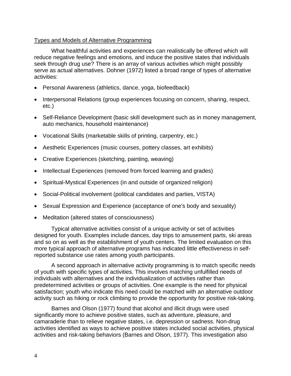#### Types and Models of Alternative Programming

What healthful activities and experiences can realistically be offered which will reduce negative feelings and emotions, and induce the positive states that individuals seek through drug use? There is an array of various activities which might possibly serve as actual alternatives. Dohner (1972) listed a broad range of types of alternative activities:

- Personal Awareness (athletics, dance, yoga, biofeedback)
- Interpersonal Relations (group experiences focusing on concern, sharing, respect, etc.)
- Self-Reliance Development (basic skill development such as in money management, auto mechanics, household maintenance)
- Vocational Skills (marketable skills of printing, carpentry, etc.)
- Aesthetic Experiences (music courses, pottery classes, art exhibits)
- Creative Experiences (sketching, painting, weaving)
- Intellectual Experiences (removed from forced learning and grades)
- Spiritual-Mystical Experiences (in and outside of organized religion)
- Social-Political involvement (political candidates and parties, VISTA)
- Sexual Expression and Experience (acceptance of one's body and sexuality)
- Meditation (altered states of consciousness)

Typical alternative activities consist of a unique activity or set of activities designed for youth. Examples include dances, day trips to amusement parts, ski areas and so on as well as the establishment of youth centers. The limited evaluation on this more typical approach of alternative programs has indicated little effectiveness in selfreported substance use rates among youth participants.

A second approach in alternative activity programming is to match specific needs of youth with specific types of activities. This involves matching unfulfilled needs of individuals with alternatives and the individualization of activities rather than predetermined activities or groups of activities. One example is the need for physical satisfaction; youth who indicate this need could be matched with an alternative outdoor activity such as hiking or rock climbing to provide the opportunity for positive risk-taking.

Barnes and Olson (1977) found that alcohol and illicit drugs were used significantly more to achieve positive states, such as adventure, pleasure, and camaraderie than to relieve negative states, i.e. depression or sadness. Non-drug activities identified as ways to achieve positive states included social activities, physical activities and risk-taking behaviors (Barnes and Olson, 1977). This investigation also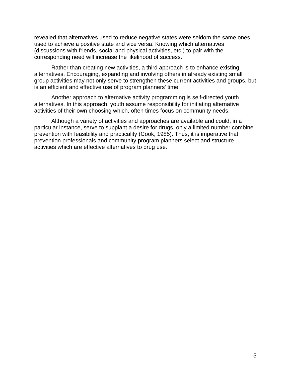revealed that alternatives used to reduce negative states were seldom the same ones used to achieve a positive state and vice versa. Knowing which alternatives (discussions with friends, social and physical activities, etc.) to pair with the corresponding need will increase the likelihood of success.

Rather than creating new activities, a third approach is to enhance existing alternatives. Encouraging, expanding and involving others in already existing small group activities may not only serve to strengthen these current activities and groups, but is an efficient and effective use of program planners' time.

Another approach to alternative activity programming is self-directed youth alternatives. In this approach, youth assume responsibility for initiating alternative activities of their own choosing which, often times focus on community needs.

Although a variety of activities and approaches are available and could, in a particular instance, serve to supplant a desire for drugs, only a limited number combine prevention with feasibility and practicality (Cook, 1985). Thus, it is imperative that prevention professionals and community program planners select and structure activities which are effective alternatives to drug use.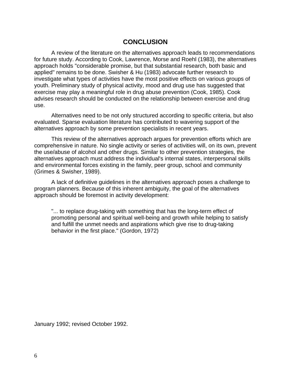## **CONCLUSION**

A review of the literature on the alternatives approach leads to recommendations for future study. According to Cook, Lawrence, Morse and Roehl (1983), the alternatives approach holds "considerable promise, but that substantial research, both basic and applied" remains to be done. Swisher & Hu (1983) advocate further research to investigate what types of activities have the most positive effects on various groups of youth. Preliminary study of physical activity, mood and drug use has suggested that exercise may play a meaningful role in drug abuse prevention (Cook, 1985). Cook advises research should be conducted on the relationship between exercise and drug use.

Alternatives need to be not only structured according to specific criteria, but also evaluated. Sparse evaluation literature has contributed to wavering support of the alternatives approach by some prevention specialists in recent years.

This review of the alternatives approach argues for prevention efforts which are comprehensive in nature. No single activity or series of activities will, on its own, prevent the use/abuse of alcohol and other drugs. Similar to other prevention strategies, the alternatives approach must address the individual's internal states, interpersonal skills and environmental forces existing in the family, peer group, school and community (Grimes & Swisher, 1989).

A lack of definitive guidelines in the alternatives approach poses a challenge to program planners. Because of this inherent ambiguity, the goal of the alternatives approach should be foremost in activity development:

"... to replace drug-taking with something that has the long-term effect of promoting personal and spiritual well-being and growth while helping to satisfy and fulfill the unmet needs and aspirations which give rise to drug-taking behavior in the first place." (Gordon, 1972)

January 1992; revised October 1992.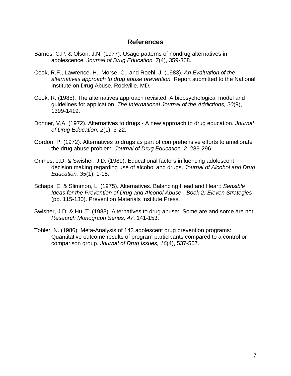## **References**

- Barnes, C.P. & Olson, J.N. (1977). Usage patterns of nondrug alternatives in adolescence. *Journal of Drug Education, 7*(4), 359-368.
- Cook, R.F., Lawrence, H., Morse, C., and Roehl, J. (1983). *An Evaluation of the alternatives approach to drug abuse prevention.* Report submitted to the National Institute on Drug Abuse, Rockville, MD.
- Cook, R. (1985). The alternatives approach revisited: A biopsychological model and guidelines for application. *The International Journal of the Addictions, 20*(9), 1399-1419.
- Dohner, V.A. (1972). Alternatives to drugs A new approach to drug education. *Journal of Drug Education, 2*(1), 3-22.
- Gordon, P. (1972). Alternatives to drugs as part of comprehensive efforts to ameliorate the drug abuse problem. *Journal of Drug Education, 2*, 289-296.
- Grimes, J.D. & Swisher, J.D. (1989). Educational factors influencing adolescent decision making regarding use of alcohol and drugs. *Journal of Alcohol and Drug Education, 35*(1), 1-15.
- Schaps, E. & Slimmon, L. (1975). Alternatives. Balancing Head and Heart: *Sensible Ideas for the Prevention of Drug and Alcohol Abuse - Book 2: Eleven Strategies*  (pp. 115-130). Prevention Materials Institute Press.
- Swisher, J.D. & Hu, T. (1983). Alternatives to drug abuse: Some are and some are not. *Research Monograph Series, 47*, 141-153.
- Tobler, N. (1986). Meta-Analysis of 143 adolescent drug prevention programs: Quantitative outcome results of program participants compared to a control or comparison group. *Journal of Drug Issues, 16*(4), 537-567.